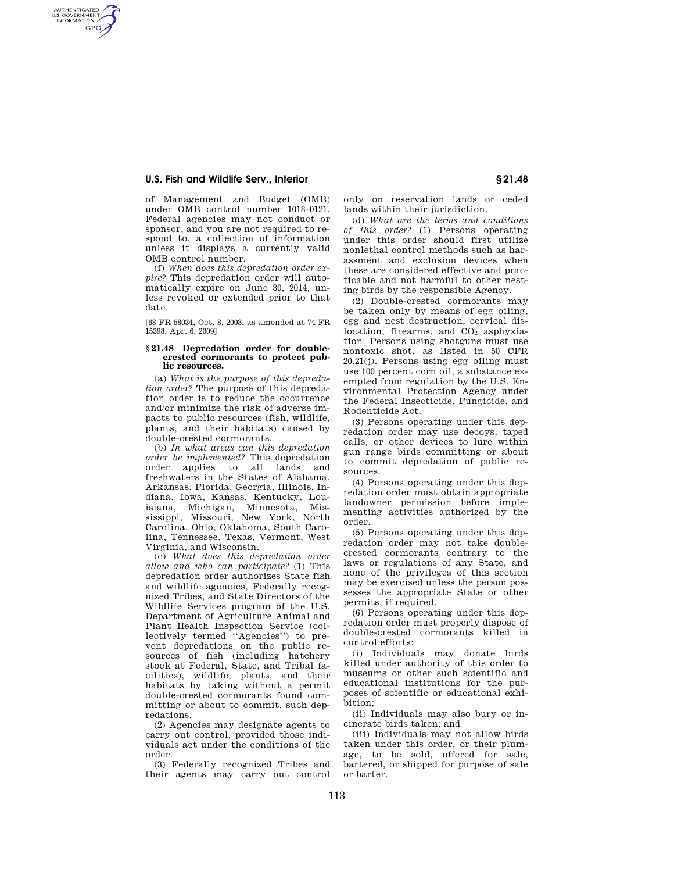## **U.S. Fish and Wildlife Serv., Interior § 21.48**

AUTHENTICATED<br>U.S. GOVERNMENT<br>INFORMATION **GPO** 

> of Management and Budget (OMB) under OMB control number 1018–0121. Federal agencies may not conduct or sponsor, and you are not required to respond to, a collection of information unless it displays a currently valid OMB control number.

> (f) *When does this depredation order expire?* This depredation order will automatically expire on June 30, 2014, unless revoked or extended prior to that date.

> [68 FR 58034, Oct. 8, 2003, as amended at 74 FR 15398, Apr. 6, 2009]

## **§ 21.48 Depredation order for doublecrested cormorants to protect public resources.**

(a) *What is the purpose of this depredation order?* The purpose of this depredation order is to reduce the occurrence and/or minimize the risk of adverse impacts to public resources (fish, wildlife, plants, and their habitats) caused by double-crested cormorants.

(b) *In what areas can this depredation order be implemented?* This depredation order applies to all lands and freshwaters in the States of Alabama, Arkansas, Florida, Georgia, Illinois, Indiana, Iowa, Kansas, Kentucky, Louisiana, Michigan, Minnesota, Mississippi, Missouri, New York, North Carolina, Ohio, Oklahoma, South Carolina, Tennessee, Texas, Vermont, West Virginia, and Wisconsin.

(c) *What does this depredation order allow and who can participate?* (1) This depredation order authorizes State fish and wildlife agencies, Federally recognized Tribes, and State Directors of the Wildlife Services program of the U.S. Department of Agriculture Animal and Plant Health Inspection Service (collectively termed ''Agencies'') to prevent depredations on the public resources of fish (including hatchery stock at Federal, State, and Tribal facilities), wildlife, plants, and their habitats by taking without a permit double-crested cormorants found committing or about to commit, such depredations.

(2) Agencies may designate agents to carry out control, provided those individuals act under the conditions of the order.

(3) Federally recognized Tribes and their agents may carry out control only on reservation lands or ceded lands within their jurisdiction.

(d) *What are the terms and conditions of this order?* (1) Persons operating under this order should first utilize nonlethal control methods such as harassment and exclusion devices when these are considered effective and practicable and not harmful to other nesting birds by the responsible Agency.

(2) Double-crested cormorants may be taken only by means of egg oiling, egg and nest destruction, cervical dislocation, firearms, and  $CO<sub>2</sub>$  asphyxiation. Persons using shotguns must use nontoxic shot, as listed in 50 CFR 20.21(j). Persons using egg oiling must use 100 percent corn oil, a substance exempted from regulation by the U.S. Environmental Protection Agency under the Federal Insecticide, Fungicide, and Rodenticide Act.

(3) Persons operating under this depredation order may use decoys, taped calls, or other devices to lure within gun range birds committing or about to commit depredation of public resources.

(4) Persons operating under this depredation order must obtain appropriate landowner permission before implementing activities authorized by the order.

(5) Persons operating under this depredation order may not take doublecrested cormorants contrary to the laws or regulations of any State, and none of the privileges of this section may be exercised unless the person possesses the appropriate State or other permits, if required.

(6) Persons operating under this depredation order must properly dispose of double-crested cormorants killed in control efforts:

(i) Individuals may donate birds killed under authority of this order to museums or other such scientific and educational institutions for the purposes of scientific or educational exhibition;

(ii) Individuals may also bury or incinerate birds taken; and

(iii) Individuals may not allow birds taken under this order, or their plumage, to be sold, offered for sale, bartered, or shipped for purpose of sale or barter.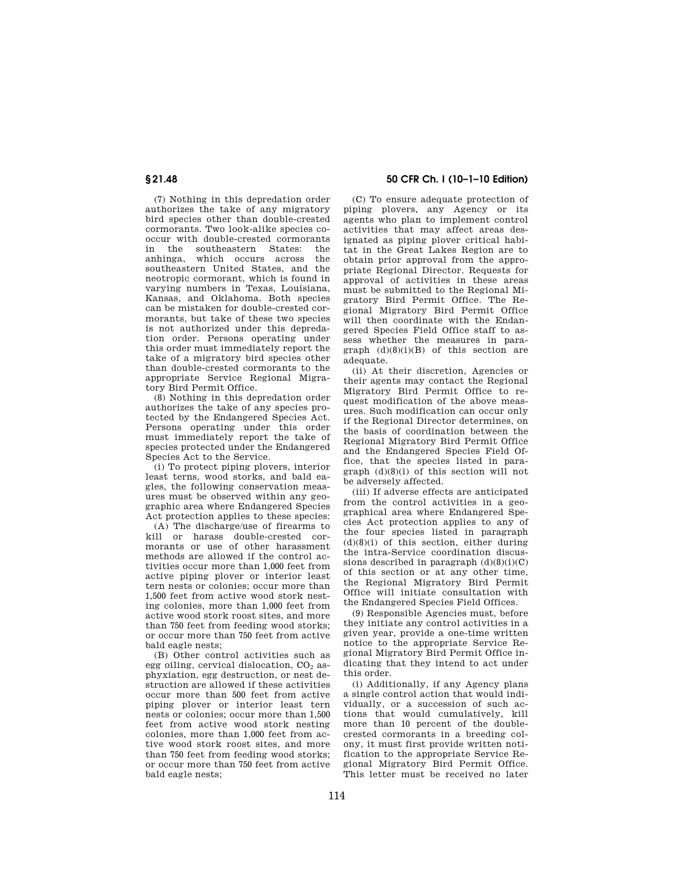(7) Nothing in this depredation order authorizes the take of any migratory bird species other than double-crested cormorants. Two look-alike species cooccur with double-crested cormorants in the southeastern States: the anhinga, which occurs across southeastern United States, and the neotropic cormorant, which is found in varying numbers in Texas, Louisiana, Kansas, and Oklahoma. Both species can be mistaken for double-crested cormorants, but take of these two species is not authorized under this depredation order. Persons operating under this order must immediately report the take of a migratory bird species other than double-crested cormorants to the appropriate Service Regional Migratory Bird Permit Office.

(8) Nothing in this depredation order authorizes the take of any species protected by the Endangered Species Act. Persons operating under this order must immediately report the take of species protected under the Endangered Species Act to the Service.

(i) To protect piping plovers, interior least terns, wood storks, and bald eagles, the following conservation measures must be observed within any geographic area where Endangered Species Act protection applies to these species:

(A) The discharge/use of firearms to kill or harass double-crested cormorants or use of other harassment methods are allowed if the control activities occur more than 1,000 feet from active piping plover or interior least tern nests or colonies; occur more than 1,500 feet from active wood stork nesting colonies, more than 1,000 feet from active wood stork roost sites, and more than 750 feet from feeding wood storks; or occur more than 750 feet from active bald eagle nests;

(B) Other control activities such as egg oiling, cervical dislocation,  $CO<sub>2</sub>$  asphyxiation, egg destruction, or nest destruction are allowed if these activities occur more than 500 feet from active piping plover or interior least tern nests or colonies; occur more than 1,500 feet from active wood stork nesting colonies, more than 1,000 feet from active wood stork roost sites, and more than 750 feet from feeding wood storks; or occur more than 750 feet from active bald eagle nests;

**§ 21.48 50 CFR Ch. I (10–1–10 Edition)** 

(C) To ensure adequate protection of piping plovers, any Agency or its agents who plan to implement control activities that may affect areas designated as piping plover critical habitat in the Great Lakes Region are to obtain prior approval from the appropriate Regional Director. Requests for approval of activities in these areas must be submitted to the Regional Migratory Bird Permit Office. The Regional Migratory Bird Permit Office will then coordinate with the Endangered Species Field Office staff to assess whether the measures in paragraph (d)(8)(i)(B) of this section are adequate.

(ii) At their discretion, Agencies or their agents may contact the Regional Migratory Bird Permit Office to request modification of the above measures. Such modification can occur only if the Regional Director determines, on the basis of coordination between the Regional Migratory Bird Permit Office and the Endangered Species Field Office, that the species listed in paragraph (d)(8)(i) of this section will not be adversely affected.

(iii) If adverse effects are anticipated from the control activities in a geographical area where Endangered Species Act protection applies to any of the four species listed in paragraph  $(d)(8)(i)$  of this section, either during the intra-Service coordination discussions described in paragraph  $(\mathrm{d})(8)(\mathrm{i})(\mathrm{C})$ of this section or at any other time, the Regional Migratory Bird Permit Office will initiate consultation with the Endangered Species Field Offices.

(9) Responsible Agencies must, before they initiate any control activities in a given year, provide a one-time written notice to the appropriate Service Regional Migratory Bird Permit Office indicating that they intend to act under this order.

(i) Additionally, if any Agency plans a single control action that would individually, or a succession of such actions that would cumulatively, kill more than 10 percent of the doublecrested cormorants in a breeding colony, it must first provide written notification to the appropriate Service Regional Migratory Bird Permit Office. This letter must be received no later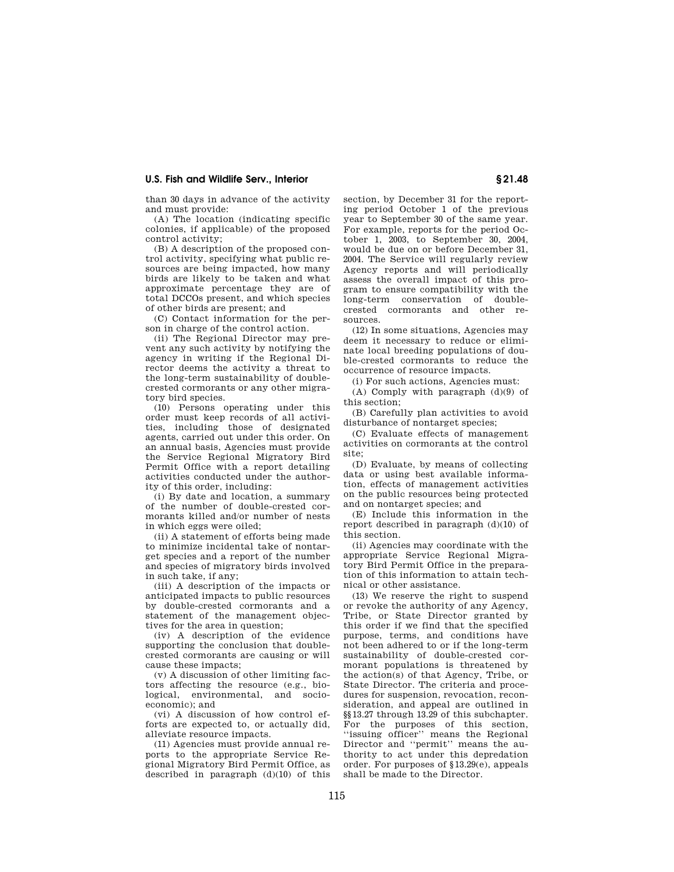## **U.S. Fish and Wildlife Serv., Interior § 21.48**

than 30 days in advance of the activity and must provide:

(A) The location (indicating specific colonies, if applicable) of the proposed control activity;

(B) A description of the proposed control activity, specifying what public resources are being impacted, how many birds are likely to be taken and what approximate percentage they are of total DCCOs present, and which species of other birds are present; and

(C) Contact information for the person in charge of the control action.

(ii) The Regional Director may prevent any such activity by notifying the agency in writing if the Regional Director deems the activity a threat to the long-term sustainability of doublecrested cormorants or any other migratory bird species.

(10) Persons operating under this order must keep records of all activities, including those of designated agents, carried out under this order. On an annual basis, Agencies must provide the Service Regional Migratory Bird Permit Office with a report detailing activities conducted under the authority of this order, including:

(i) By date and location, a summary of the number of double-crested cormorants killed and/or number of nests in which eggs were oiled;

(ii) A statement of efforts being made to minimize incidental take of nontarget species and a report of the number and species of migratory birds involved in such take, if any;

(iii) A description of the impacts or anticipated impacts to public resources by double-crested cormorants and a statement of the management objectives for the area in question;

(iv) A description of the evidence supporting the conclusion that doublecrested cormorants are causing or will cause these impacts;

(v) A discussion of other limiting factors affecting the resource (e.g., biological, environmental, and socioeconomic); and

(vi) A discussion of how control efforts are expected to, or actually did, alleviate resource impacts.

(11) Agencies must provide annual reports to the appropriate Service Regional Migratory Bird Permit Office, as described in paragraph (d)(10) of this section, by December 31 for the reporting period October 1 of the previous year to September 30 of the same year. For example, reports for the period October 1, 2003, to September 30, 2004, would be due on or before December 31, 2004. The Service will regularly review Agency reports and will periodically assess the overall impact of this program to ensure compatibility with the long-term conservation of doublecrested cormorants and other resources.

(12) In some situations, Agencies may deem it necessary to reduce or eliminate local breeding populations of double-crested cormorants to reduce the occurrence of resource impacts.

(i) For such actions, Agencies must:

(A) Comply with paragraph (d)(9) of this section;

(B) Carefully plan activities to avoid disturbance of nontarget species;

(C) Evaluate effects of management activities on cormorants at the control site;

(D) Evaluate, by means of collecting data or using best available information, effects of management activities on the public resources being protected and on nontarget species; and

(E) Include this information in the report described in paragraph (d)(10) of this section.

(ii) Agencies may coordinate with the appropriate Service Regional Migratory Bird Permit Office in the preparation of this information to attain technical or other assistance.

(13) We reserve the right to suspend or revoke the authority of any Agency, Tribe, or State Director granted by this order if we find that the specified purpose, terms, and conditions have not been adhered to or if the long-term sustainability of double-crested cormorant populations is threatened by the action(s) of that Agency, Tribe, or State Director. The criteria and procedures for suspension, revocation, reconsideration, and appeal are outlined in §§13.27 through 13.29 of this subchapter. For the purposes of this section, ''issuing officer'' means the Regional Director and ''permit'' means the authority to act under this depredation order. For purposes of §13.29(e), appeals shall be made to the Director.